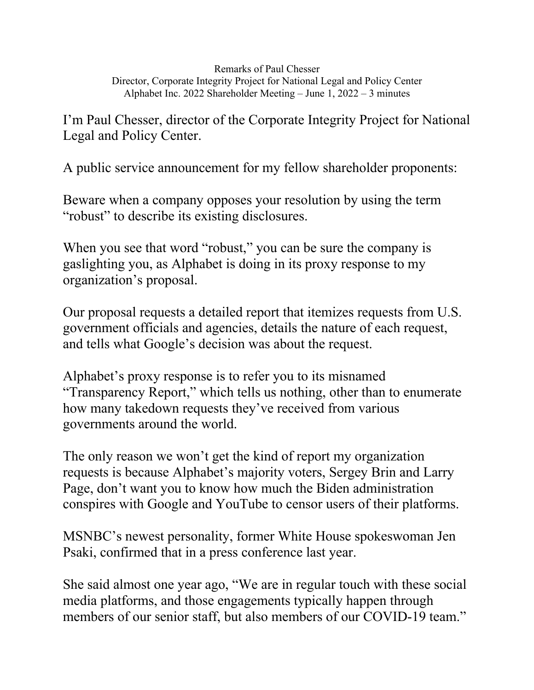Remarks of Paul Chesser Director, Corporate Integrity Project for National Legal and Policy Center Alphabet Inc. 2022 Shareholder Meeting – June 1, 2022 – 3 minutes

I'm Paul Chesser, director of the Corporate Integrity Project for National Legal and Policy Center.

A public service announcement for my fellow shareholder proponents:

Beware when a company opposes your resolution by using the term "robust" to describe its existing disclosures.

When you see that word "robust," you can be sure the company is gaslighting you, as Alphabet is doing in its proxy response to my organization's proposal.

Our proposal requests a detailed report that itemizes requests from U.S. government officials and agencies, details the nature of each request, and tells what Google's decision was about the request.

Alphabet's proxy response is to refer you to its misnamed "Transparency Report," which tells us nothing, other than to enumerate how many takedown requests they've received from various governments around the world.

The only reason we won't get the kind of report my organization requests is because Alphabet's majority voters, Sergey Brin and Larry Page, don't want you to know how much the Biden administration conspires with Google and YouTube to censor users of their platforms.

MSNBC's newest personality, former White House spokeswoman Jen Psaki, confirmed that in a press conference last year.

She said almost one year ago, "We are in regular touch with these social media platforms, and those engagements typically happen through members of our senior staff, but also members of our COVID-19 team."